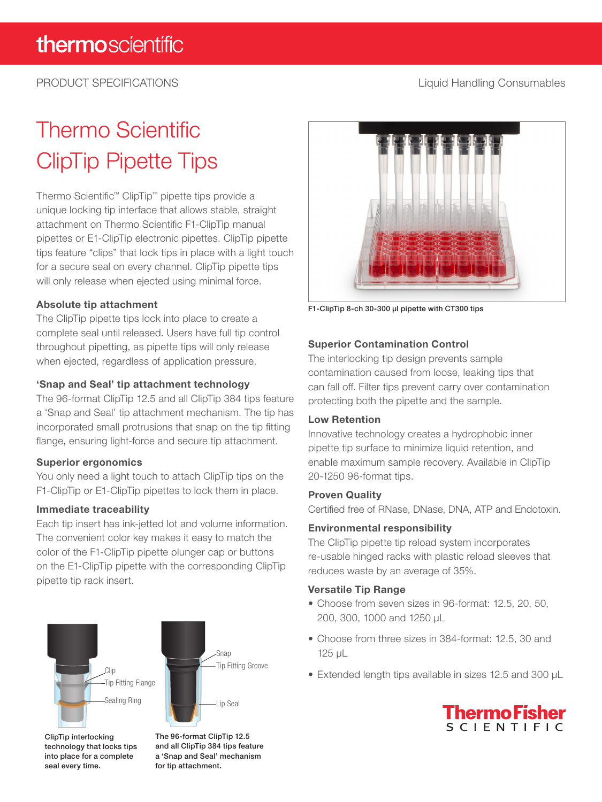## PRODUCT SPECIFICATIONS **Liquid Handling Consumables**

# Thermo Scientific ClipTip Pipette Tips

Thermo Scientific™ ClipTip™ pipette tips provide a unique locking tip interface that allows stable, straight attachment on Thermo Scientific F1-ClipTip manual pipettes or E1-ClipTip electronic pipettes. ClipTip pipette tips feature "clips" that lock tips in place with a light touch for a secure seal on every channel. ClipTip pipette tips will only release when ejected using minimal force.

### Absolute tip attachment

The ClipTip pipette tips lock into place to create a complete seal until released. Users have full tip control throughout pipetting, as pipette tips will only release when ejected, regardless of application pressure.

### 'Snap and Seal' tip attachment technology

The 96-format ClipTip 12.5 and all ClipTip 384 tips feature a 'Snap and Seal' tip attachment mechanism. The tip has incorporated small protrusions that snap on the tip fitting flange, ensuring light-force and secure tip attachment.

#### Superior ergonomics

You only need a light touch to attach ClipTip tips on the F1-ClipTip or E1-ClipTip pipettes to lock them in place.

#### Immediate traceability

Each tip insert has ink-jetted lot and volume information. The convenient color key makes it easy to match the color of the F1-ClipTip pipette plunger cap or buttons on the E1-ClipTip pipette with the corresponding ClipTip pipette tip rack insert.



ClipTip interlocking technology that locks tips into place for a complete seal every time.

The 96-format ClipTip 12.5 and all ClipTip 384 tips feature a 'Snap and Seal' mechanism for tip attachment.



F1-ClipTip 8-ch 30-300 µl pipette with CT300 tips

### Superior Contamination Control

The interlocking tip design prevents sample contamination caused from loose, leaking tips that can fall off. Filter tips prevent carry over contamination protecting both the pipette and the sample.

#### Low Retention

Innovative technology creates a hydrophobic inner pipette tip surface to minimize liquid retention, and enable maximum sample recovery. Available in ClipTip 20-1250 96-format tips.

#### Proven Quality

Certified free of RNase, DNase, DNA, ATP and Endotoxin.

#### Environmental responsibility

The ClipTip pipette tip reload system incorporates re-usable hinged racks with plastic reload sleeves that reduces waste by an average of 35%.

#### Versatile Tip Range

- Choose from seven sizes in 96-format: 12.5, 20, 50, 200, 300, 1000 and 1250 µL
- Choose from three sizes in 384-format: 12.5, 30 and 125 µL
- Extended length tips available in sizes 12.5 and 300 µL

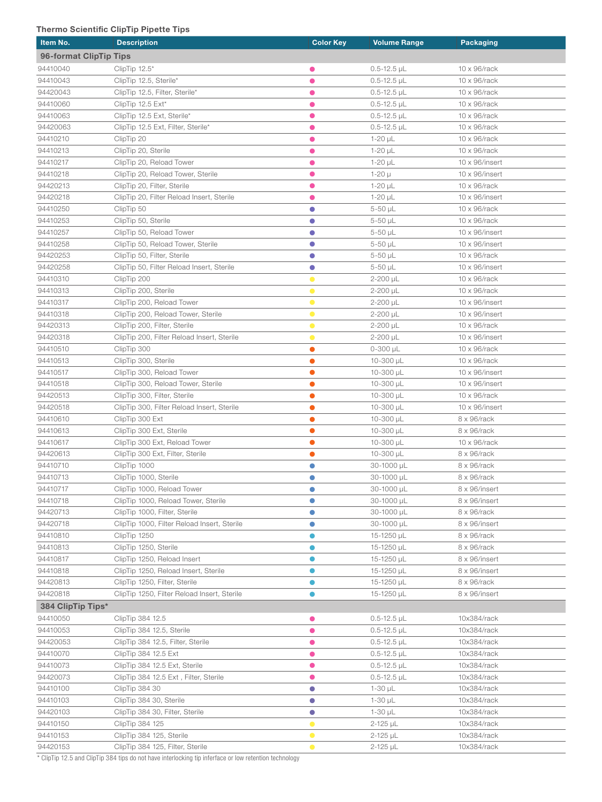#### Thermo Scientific ClipTip Pipette Tips

| Item No.               | <b>Description</b>                          | <b>Color Key</b> | <b>Volume Range</b> | <b>Packaging</b>       |
|------------------------|---------------------------------------------|------------------|---------------------|------------------------|
| 96-format ClipTip Tips |                                             |                  |                     |                        |
| 94410040               | ClipTip $12.5^*$                            | 0                | $0.5 - 12.5$ µL     | 10 x 96/rack           |
| 94410043               | ClipTip 12.5, Sterile*                      | $\bullet$        | $0.5 - 12.5$ µL     | 10 x 96/rack           |
| 94420043               | ClipTip 12.5, Filter, Sterile*              | $\bullet$        | $0.5 - 12.5$ µL     | $10 \times 96$ /rack   |
| 94410060               | ClipTip 12.5 Ext*                           | $\bullet$        | $0.5 - 12.5$ µL     | $10 \times 96$ /rack   |
| 94410063               | ClipTip 12.5 Ext, Sterile*                  | $\bullet$        | $0.5 - 12.5$ µL     | $10 \times 96$ /rack   |
| 94420063               | ClipTip 12.5 Ext, Filter, Sterile*          | ●                | $0.5 - 12.5$ µL     | $10 \times 96$ /rack   |
| 94410210               | ClipTip 20                                  | $\bullet$        | $1-20$ µL           | 10 x 96/rack           |
| 94410213               | ClipTip 20, Sterile                         | $\bullet$        | $1-20$ µL           | 10 x 96/rack           |
| 94410217               | ClipTip 20, Reload Tower                    | $\bullet$        | $1-20$ µL           | $10 \times 96$ /insert |
| 94410218               | ClipTip 20, Reload Tower, Sterile           | $\bullet$        | 1-20 µ              | $10 \times 96$ /insert |
| 94420213               | ClipTip 20, Filter, Sterile                 | $\bullet$        | $1-20$ µL           | 10 x 96/rack           |
| 94420218               | ClipTip 20, Filter Reload Insert, Sterile   | $\bullet$        | $1-20 \mu L$        | $10 \times 96$ /insert |
| 94410250               | ClipTip 50                                  | $\bullet$        | 5-50 µL             | 10 x 96/rack           |
| 94410253               | ClipTip 50, Sterile                         | $\bullet$        | 5-50 µL             | 10 x 96/rack           |
| 94410257               | ClipTip 50, Reload Tower                    | $\bullet$        | 5-50 µL             | $10 \times 96$ /insert |
| 94410258               | ClipTip 50, Reload Tower, Sterile           | $\bullet$        | 5-50 µL             | $10 \times 96$ /insert |
| 94420253               | ClipTip 50, Filter, Sterile                 | $\bullet$        | $5-50$ µL           | $10 \times 96$ /rack   |
| 94420258               | ClipTip 50, Filter Reload Insert, Sterile   | $\bullet$        | $5-50$ $\mu$ L      | $10 \times 96$ /insert |
| 94410310               | ClipTip 200                                 | $\bullet$        | 2-200 µL            | $10 \times 96$ /rack   |
| 94410313               | ClipTip 200, Sterile                        | $\bullet$        | 2-200 µL            | 10 x 96/rack           |
| 94410317               | ClipTip 200, Reload Tower                   | $\bullet$        | 2-200 µL            | $10 \times 96$ /insert |
| 94410318               | ClipTip 200, Reload Tower, Sterile          | $\bullet$        | $2 - 200$ $\mu$ L   | $10 \times 96$ /insert |
| 94420313               | ClipTip 200, Filter, Sterile                | $\bullet$        | $2 - 200$ $\mu$ L   | 10 x 96/rack           |
| 94420318               | ClipTip 200, Filter Reload Insert, Sterile  | $\bullet$        | $2 - 200$ µL        | $10 \times 96$ /insert |
| 94410510               | ClipTip 300                                 | $\bullet$        | $0 - 300$ $\mu$ L   | 10 x 96/rack           |
| 94410513               | ClipTip 300, Sterile                        | $\bullet$        | 10-300 µL           | 10 x 96/rack           |
| 94410517               | ClipTip 300, Reload Tower                   | $\bullet$        | 10-300 $\mu$ L      | $10 \times 96$ /insert |
| 94410518               | ClipTip 300, Reload Tower, Sterile          | $\bullet$        | 10-300 µL           | $10 \times 96$ /insert |
| 94420513               | ClipTip 300, Filter, Sterile                | $\bullet$        | 10-300 µL           | $10 \times 96$ /rack   |
| 94420518               | ClipTip 300, Filter Reload Insert, Sterile  | $\bullet$        | 10-300 $\mu$ L      | $10 \times 96$ /insert |
| 94410610               | ClipTip 300 Ext                             | $\bullet$        | 10-300 $\mu$ L      | 8 x 96/rack            |
| 94410613               | ClipTip 300 Ext, Sterile                    | $\bullet$        | 10-300 µL           | 8 x 96/rack            |
| 94410617               | ClipTip 300 Ext, Reload Tower               | $\bullet$        | 10-300 µL           | 10 x 96/rack           |
| 94420613               | ClipTip 300 Ext, Filter, Sterile            | $\bullet$        | 10-300 $\mu$ L      | 8 x 96/rack            |
| 94410710               | ClipTip 1000                                | $\bullet$        | 30-1000 µL          | 8 x 96/rack            |
| 94410713               | ClipTip 1000, Sterile                       | $\bullet$        | 30-1000 µL          | 8 x 96/rack            |
| 94410717               | ClipTip 1000, Reload Tower                  | $\bullet$        | 30-1000 µL          | 8 x 96/insert          |
| 94410718               | ClipTip 1000, Reload Tower, Sterile         | $\bullet$        | 30-1000 µL          | 8 x 96/insert          |
| 94420713               | ClipTip 1000, Filter, Sterile               | O                | 30-1000 µL          | 8 x 96/rack            |
| 94420718               | ClipTip 1000, Filter Reload Insert, Sterile | $\bullet$        | 30-1000 µL          | 8 x 96/insert          |
| 94410810               | ClipTip 1250                                |                  | 15-1250 µL          | 8 x 96/rack            |
| 94410813               | ClipTip 1250, Sterile                       |                  | 15-1250 µL          | 8 x 96/rack            |
| 94410817               | ClipTip 1250, Reload Insert                 |                  | 15-1250 µL          | 8 x 96/insert          |
| 94410818               | ClipTip 1250, Reload Insert, Sterile        |                  | 15-1250 µL          | 8 x 96/insert          |
| 94420813               | ClipTip 1250, Filter, Sterile               |                  | 15-1250 µL          | 8 x 96/rack            |
| 94420818               | ClipTip 1250, Filter Reload Insert, Sterile | $\bullet$        | 15-1250 µL          | 8 x 96/insert          |
| 384 ClipTip Tips*      |                                             |                  |                     |                        |
| 94410050               | ClipTip 384 12.5                            | $\bullet$        | $0.5 - 12.5$ µL     | 10x384/rack            |
| 94410053               | ClipTip 384 12.5, Sterile                   | $\bullet$        | $0.5 - 12.5$ µL     | 10x384/rack            |
| 94420053               | ClipTip 384 12.5, Filter, Sterile           | $\bullet$        | $0.5 - 12.5$ µL     | 10x384/rack            |
| 94410070               | ClipTip 384 12.5 Ext                        | $\bullet$        | $0.5 - 12.5$ µL     | 10x384/rack            |
| 94410073               | ClipTip 384 12.5 Ext, Sterile               | $\bullet$        | $0.5 - 12.5$ µL     | 10x384/rack            |
| 94420073               | ClipTip 384 12.5 Ext, Filter, Sterile       | $\bullet$        | $0.5 - 12.5$ µL     | 10x384/rack            |
| 94410100               | ClipTip 384 30                              | $\bullet$        | $1-30$ µL           | 10x384/rack            |
| 94410103               | ClipTip 384 30, Sterile                     | $\bullet$        | $1 - 30 \mu L$      | 10x384/rack            |
| 94420103               | ClipTip 384 30, Filter, Sterile             | $\bullet$        | $1 - 30 \mu L$      | 10x384/rack            |
| 94410150               | ClipTip 384 125                             | $\bullet$        | 2-125 µL            | 10x384/rack            |
| 94410153               | ClipTip 384 125, Sterile                    | $\bullet$        | $2 - 125$ $\mu$ L   | 10x384/rack            |
| 94420153               | ClipTip 384 125, Filter, Sterile            | $\bullet$        | 2-125 µL            | 10x384/rack            |
|                        |                                             |                  |                     |                        |

\* ClipTip 12.5 and ClipTip 384 tips do not have interlocking tip inferface or low retention technology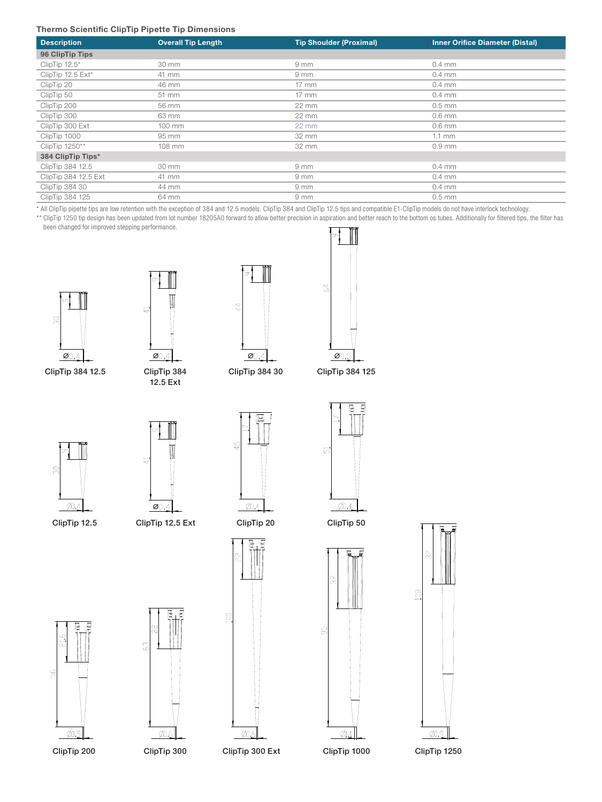#### Thermo Scientific ClipTip Pipette Tip Dimensions

| <b>Description</b>   | <b>Overall Tip Length</b> | <b>Tip Shoulder (Proximal)</b> | <b>Inner Orifice Diameter (Distal)</b> |
|----------------------|---------------------------|--------------------------------|----------------------------------------|
| 96 ClipTip Tips      |                           |                                |                                        |
| ClipTip 12.5*        | 30 mm                     | $9 \, \text{mm}$               | $0.4$ mm                               |
| ClipTip 12.5 Ext*    | 41 mm                     | $9 \, \text{mm}$               | $0.4$ mm                               |
| ClipTip 20           | 46 mm                     | $17 \text{ mm}$                | $0.4$ mm                               |
| ClipTip 50           | 51 mm                     | $17 \text{ mm}$                | $0.4 \text{ mm}$                       |
| ClipTip 200          | 56 mm                     | $22 \text{ mm}$                | $0.5$ mm                               |
| ClipTip 300          | 63 mm                     | 22 mm                          | $0.6$ mm                               |
| ClipTip 300 Ext      | 100 mm                    | $22 \text{ mm}$                | $0.6$ mm                               |
| ClipTip 1000         | 95 mm                     | 32 mm                          | $1.1$ mm                               |
| ClipTip 1250**       | 108 mm                    | 32 mm                          | $0.9$ mm                               |
| 384 ClipTip Tips*    |                           |                                |                                        |
| ClipTip 384 12.5     | 30 mm                     | $9 \, \text{mm}$               | $0.4$ mm                               |
| ClipTip 384 12.5 Ext | 41 mm                     | 9 mm                           | $0.4$ mm                               |
| ClipTip 384 30       | 44 mm                     | $9 \, \text{mm}$               | $0.4$ mm                               |
| ClipTip 384 125      | 64 mm                     | $9 \, \text{mm}$               | $0.5$ mm                               |

\* All ClipTip pipette tips are low retention with the exception of 384 and 12.5 models. ClipTip 384 and ClipTip 12.5 tips and compatible E1-ClipTip models do not have interlock technology.

\*\* ClipTip 1250 tip design has been updated from lot number 18205A0 forward to allow better precision in aspiration and better reach to the bottom os tubes. Additionally for filtered tips, the filter has been changed for improved stepping performance.



ClipTip 384 12.5 ClipTip 384 ClipTip 384 30 ClipTip 384 125



12.5 Ext





σ



41

ClipTip 12.5



ClipTip 12.5 Ext





9g





 $\frac{1}{2}$ 







ClipTip 1250



ClipTip 20 ClipTip 50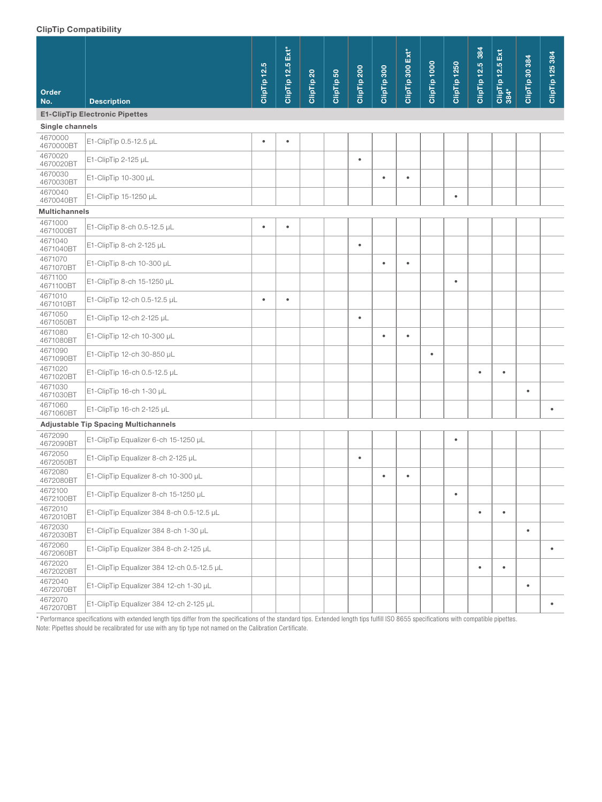#### ClipTip Compatibility

| onprip oompationity                   |                                             |              |                              |                       |            |             |             |                  |              |                         |                         |                          |                |                 |
|---------------------------------------|---------------------------------------------|--------------|------------------------------|-----------------------|------------|-------------|-------------|------------------|--------------|-------------------------|-------------------------|--------------------------|----------------|-----------------|
| Order<br>No.                          | <b>Description</b>                          | ClipTip 12.5 | $Ext^{\ast}$<br>ClipTip 12.5 | ClipTip <sub>20</sub> | ClipTip 50 | ClipTip 200 | ClipTip 300 | ClipTip 300 Ext* | ClipTip 1000 | ClipTip <sub>1250</sub> | <b>ClipTip 12.5 384</b> | ClipTip 12.5 Ext<br>384* | ClipTip 30 384 | ClipTip 125 384 |
| <b>E1-ClipTip Electronic Pipettes</b> |                                             |              |                              |                       |            |             |             |                  |              |                         |                         |                          |                |                 |
| Single channels                       |                                             |              |                              |                       |            |             |             |                  |              |                         |                         |                          |                |                 |
| 4670000<br>4670000BT                  | E1-ClipTip 0.5-12.5 µL                      | $\bullet$    | $\bullet$                    |                       |            |             |             |                  |              |                         |                         |                          |                |                 |
| 4670020<br>4670020BT                  | E1-ClipTip 2-125 µL                         |              |                              |                       |            | $\bullet$   |             |                  |              |                         |                         |                          |                |                 |
| 4670030<br>4670030BT                  | E1-ClipTip 10-300 µL                        |              |                              |                       |            |             | $\bullet$   | $\bullet$        |              |                         |                         |                          |                |                 |
| 4670040<br>4670040BT                  | E1-ClipTip 15-1250 µL                       |              |                              |                       |            |             |             |                  |              | $\bullet$               |                         |                          |                |                 |
| <b>Multichannels</b>                  |                                             |              |                              |                       |            |             |             |                  |              |                         |                         |                          |                |                 |
| 4671000<br>4671000BT                  | E1-ClipTip 8-ch 0.5-12.5 µL                 | $\bullet$    | $\bullet$                    |                       |            |             |             |                  |              |                         |                         |                          |                |                 |
| 4671040<br>4671040BT                  | E1-ClipTip 8-ch 2-125 µL                    |              |                              |                       |            | $\bullet$   |             |                  |              |                         |                         |                          |                |                 |
| 4671070<br>4671070BT                  | E1-ClipTip 8-ch 10-300 µL                   |              |                              |                       |            |             | $\bullet$   | $\bullet$        |              |                         |                         |                          |                |                 |
| 4671100<br>4671100BT                  | E1-ClipTip 8-ch 15-1250 µL                  |              |                              |                       |            |             |             |                  |              | $\bullet$               |                         |                          |                |                 |
| 4671010<br>4671010BT                  | E1-ClipTip 12-ch 0.5-12.5 µL                | $\bullet$    | $\bullet$                    |                       |            |             |             |                  |              |                         |                         |                          |                |                 |
| 4671050<br>4671050BT                  | E1-ClipTip 12-ch 2-125 µL                   |              |                              |                       |            | $\bullet$   |             |                  |              |                         |                         |                          |                |                 |
| 4671080<br>4671080BT                  | E1-ClipTip 12-ch 10-300 µL                  |              |                              |                       |            |             | $\bullet$   | $\bullet$        |              |                         |                         |                          |                |                 |
| 4671090<br>4671090BT                  | E1-ClipTip 12-ch 30-850 µL                  |              |                              |                       |            |             |             |                  | $\bullet$    |                         |                         |                          |                |                 |
| 4671020<br>4671020BT                  | E1-ClipTip 16-ch 0.5-12.5 µL                |              |                              |                       |            |             |             |                  |              |                         | $\bullet$               | $\bullet$                |                |                 |
| 4671030<br>4671030BT                  | E1-ClipTip 16-ch 1-30 µL                    |              |                              |                       |            |             |             |                  |              |                         |                         |                          | $\bullet$      |                 |
| 4671060<br>4671060BT                  | E1-ClipTip 16-ch 2-125 µL                   |              |                              |                       |            |             |             |                  |              |                         |                         |                          |                |                 |
|                                       | <b>Adjustable Tip Spacing Multichannels</b> |              |                              |                       |            |             |             |                  |              |                         |                         |                          |                |                 |
| 4672090<br>4672090BT                  | E1-ClipTip Equalizer 6-ch 15-1250 µL        |              |                              |                       |            |             |             |                  |              | $\bullet$               |                         |                          |                |                 |
| 4672050<br>4672050BT                  | E1-ClipTip Equalizer 8-ch 2-125 µL          |              |                              |                       |            | $\bullet$   |             |                  |              |                         |                         |                          |                |                 |
| 4672080<br>4672080BT                  | E1-ClipTip Equalizer 8-ch 10-300 µL         |              |                              |                       |            |             | ٠           | ٠                |              |                         |                         |                          |                |                 |
| 4672100<br>4672100BT                  | E1-ClipTip Equalizer 8-ch 15-1250 µL        |              |                              |                       |            |             |             |                  |              | $\bullet$               |                         |                          |                |                 |
| 4672010<br>4672010BT                  | E1-ClipTip Equalizer 384 8-ch 0.5-12.5 µL   |              |                              |                       |            |             |             |                  |              |                         | $\bullet$               | $\bullet$                |                |                 |
| 4672030<br>4672030BT                  | E1-ClipTip Equalizer 384 8-ch 1-30 µL       |              |                              |                       |            |             |             |                  |              |                         |                         |                          | $\bullet$      |                 |
| 4672060<br>4672060BT                  | E1-ClipTip Equalizer 384 8-ch 2-125 µL      |              |                              |                       |            |             |             |                  |              |                         |                         |                          |                | $\bullet$       |
| 4672020<br>4672020BT                  | E1-ClipTip Equalizer 384 12-ch 0.5-12.5 µL  |              |                              |                       |            |             |             |                  |              |                         | $\bullet$               | $\bullet$                |                |                 |
| 4672040<br>4672070BT                  | E1-ClipTip Equalizer 384 12-ch 1-30 µL      |              |                              |                       |            |             |             |                  |              |                         |                         |                          | $\bullet$      |                 |
| 4672070<br>4672070BT                  | E1-ClipTip Equalizer 384 12-ch 2-125 µL     |              |                              |                       |            |             |             |                  |              |                         |                         |                          |                | ٠               |

\* Performance specifications with extended length tips differ from the specifications of the standard tips. Extended length tips fulfill ISO 8655 specifications with compatible pipettes. Note: Pipettes should be recalibrated for use with any tip type not named on the Calibration Certificate.